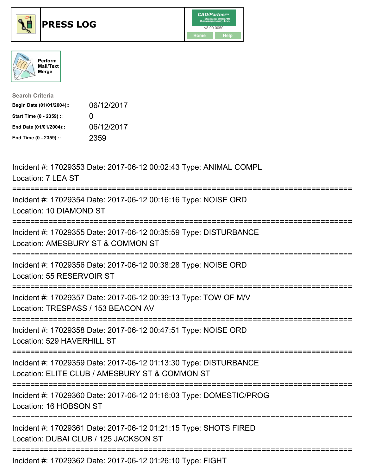





| <b>Search Criteria</b>    |              |
|---------------------------|--------------|
| Begin Date (01/01/2004):: | 06/12/2017   |
| Start Time (0 - 2359) ::  | $\mathbf{I}$ |
| End Date (01/01/2004)::   | 06/12/2017   |
| End Time (0 - 2359) ::    | 2359         |

| Incident #: 17029353 Date: 2017-06-12 00:02:43 Type: ANIMAL COMPL<br>Location: 7 LEA ST<br>-----------------------------    |
|-----------------------------------------------------------------------------------------------------------------------------|
| Incident #: 17029354 Date: 2017-06-12 00:16:16 Type: NOISE ORD<br>Location: 10 DIAMOND ST<br>------------------------------ |
| Incident #: 17029355 Date: 2017-06-12 00:35:59 Type: DISTURBANCE<br>Location: AMESBURY ST & COMMON ST                       |
| Incident #: 17029356 Date: 2017-06-12 00:38:28 Type: NOISE ORD<br>Location: 55 RESERVOIR ST                                 |
| Incident #: 17029357 Date: 2017-06-12 00:39:13 Type: TOW OF M/V<br>Location: TRESPASS / 153 BEACON AV                       |
| Incident #: 17029358 Date: 2017-06-12 00:47:51 Type: NOISE ORD<br>Location: 529 HAVERHILL ST                                |
| Incident #: 17029359 Date: 2017-06-12 01:13:30 Type: DISTURBANCE<br>Location: ELITE CLUB / AMESBURY ST & COMMON ST          |
| Incident #: 17029360 Date: 2017-06-12 01:16:03 Type: DOMESTIC/PROG<br>Location: 16 HOBSON ST<br>----------------            |
| Incident #: 17029361 Date: 2017-06-12 01:21:15 Type: SHOTS FIRED<br>Location: DUBAI CLUB / 125 JACKSON ST                   |
| Incident #: 17029362 Date: 2017-06-12 01:26:10 Type: FIGHT                                                                  |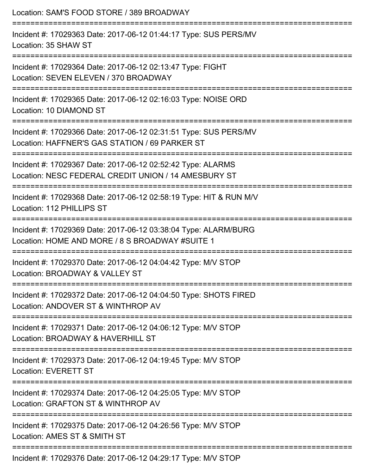| Location: SAM'S FOOD STORE / 389 BROADWAY                                                                                                 |
|-------------------------------------------------------------------------------------------------------------------------------------------|
| Incident #: 17029363 Date: 2017-06-12 01:44:17 Type: SUS PERS/MV<br>Location: 35 SHAW ST                                                  |
| Incident #: 17029364 Date: 2017-06-12 02:13:47 Type: FIGHT<br>Location: SEVEN ELEVEN / 370 BROADWAY                                       |
| Incident #: 17029365 Date: 2017-06-12 02:16:03 Type: NOISE ORD<br>Location: 10 DIAMOND ST                                                 |
| Incident #: 17029366 Date: 2017-06-12 02:31:51 Type: SUS PERS/MV<br>Location: HAFFNER'S GAS STATION / 69 PARKER ST                        |
| Incident #: 17029367 Date: 2017-06-12 02:52:42 Type: ALARMS<br>Location: NESC FEDERAL CREDIT UNION / 14 AMESBURY ST                       |
| Incident #: 17029368 Date: 2017-06-12 02:58:19 Type: HIT & RUN M/V<br>Location: 112 PHILLIPS ST                                           |
| Incident #: 17029369 Date: 2017-06-12 03:38:04 Type: ALARM/BURG<br>Location: HOME AND MORE / 8 S BROADWAY #SUITE 1                        |
| :================<br>Incident #: 17029370 Date: 2017-06-12 04:04:42 Type: M/V STOP<br>Location: BROADWAY & VALLEY ST                      |
| -------------------------------<br>Incident #: 17029372 Date: 2017-06-12 04:04:50 Type: SHOTS FIRED<br>Location: ANDOVER ST & WINTHROP AV |
| Incident #: 17029371 Date: 2017-06-12 04:06:12 Type: M/V STOP<br>Location: BROADWAY & HAVERHILL ST                                        |
| Incident #: 17029373 Date: 2017-06-12 04:19:45 Type: M/V STOP<br><b>Location: EVERETT ST</b>                                              |
| ====================<br>Incident #: 17029374 Date: 2017-06-12 04:25:05 Type: M/V STOP<br>Location: GRAFTON ST & WINTHROP AV               |
| Incident #: 17029375 Date: 2017-06-12 04:26:56 Type: M/V STOP<br>Location: AMES ST & SMITH ST                                             |
| Incident #: 17029376 Date: 2017-06-12 04:29:17 Type: M/V STOP                                                                             |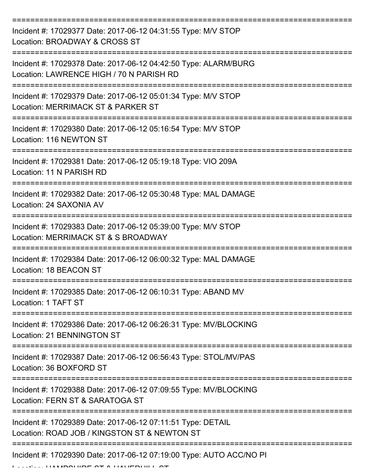| Incident #: 17029377 Date: 2017-06-12 04:31:55 Type: M/V STOP<br>Location: BROADWAY & CROSS ST              |
|-------------------------------------------------------------------------------------------------------------|
| Incident #: 17029378 Date: 2017-06-12 04:42:50 Type: ALARM/BURG<br>Location: LAWRENCE HIGH / 70 N PARISH RD |
| Incident #: 17029379 Date: 2017-06-12 05:01:34 Type: M/V STOP<br>Location: MERRIMACK ST & PARKER ST         |
| Incident #: 17029380 Date: 2017-06-12 05:16:54 Type: M/V STOP<br>Location: 116 NEWTON ST                    |
| Incident #: 17029381 Date: 2017-06-12 05:19:18 Type: VIO 209A<br>Location: 11 N PARISH RD                   |
| Incident #: 17029382 Date: 2017-06-12 05:30:48 Type: MAL DAMAGE<br>Location: 24 SAXONIA AV                  |
| Incident #: 17029383 Date: 2017-06-12 05:39:00 Type: M/V STOP<br>Location: MERRIMACK ST & S BROADWAY        |
| Incident #: 17029384 Date: 2017-06-12 06:00:32 Type: MAL DAMAGE<br>Location: 18 BEACON ST                   |
| Incident #: 17029385 Date: 2017-06-12 06:10:31 Type: ABAND MV<br>Location: 1 TAFT ST                        |
| Incident #: 17029386 Date: 2017-06-12 06:26:31 Type: MV/BLOCKING<br><b>Location: 21 BENNINGTON ST</b>       |
| Incident #: 17029387 Date: 2017-06-12 06:56:43 Type: STOL/MV/PAS<br>Location: 36 BOXFORD ST                 |
| Incident #: 17029388 Date: 2017-06-12 07:09:55 Type: MV/BLOCKING<br>Location: FERN ST & SARATOGA ST         |
| Incident #: 17029389 Date: 2017-06-12 07:11:51 Type: DETAIL<br>Location: ROAD JOB / KINGSTON ST & NEWTON ST |
| Incident #: 17029390 Date: 2017-06-12 07:19:00 Type: AUTO ACC/NO PI                                         |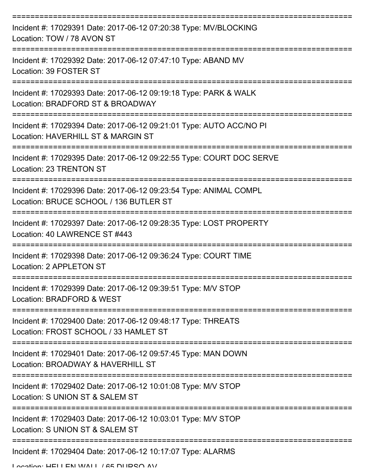| Incident #: 17029391 Date: 2017-06-12 07:20:38 Type: MV/BLOCKING<br>Location: TOW / 78 AVON ST              |
|-------------------------------------------------------------------------------------------------------------|
| Incident #: 17029392 Date: 2017-06-12 07:47:10 Type: ABAND MV<br>Location: 39 FOSTER ST                     |
| Incident #: 17029393 Date: 2017-06-12 09:19:18 Type: PARK & WALK<br>Location: BRADFORD ST & BROADWAY        |
| Incident #: 17029394 Date: 2017-06-12 09:21:01 Type: AUTO ACC/NO PI<br>Location: HAVERHILL ST & MARGIN ST   |
| Incident #: 17029395 Date: 2017-06-12 09:22:55 Type: COURT DOC SERVE<br>Location: 23 TRENTON ST             |
| Incident #: 17029396 Date: 2017-06-12 09:23:54 Type: ANIMAL COMPL<br>Location: BRUCE SCHOOL / 136 BUTLER ST |
| Incident #: 17029397 Date: 2017-06-12 09:28:35 Type: LOST PROPERTY<br>Location: 40 LAWRENCE ST #443         |
| Incident #: 17029398 Date: 2017-06-12 09:36:24 Type: COURT TIME<br>Location: 2 APPLETON ST                  |
| Incident #: 17029399 Date: 2017-06-12 09:39:51 Type: M/V STOP<br>Location: BRADFORD & WEST                  |
| Incident #: 17029400 Date: 2017-06-12 09:48:17 Type: THREATS<br>Location: FROST SCHOOL / 33 HAMLET ST       |
| Incident #: 17029401 Date: 2017-06-12 09:57:45 Type: MAN DOWN<br>Location: BROADWAY & HAVERHILL ST          |
| Incident #: 17029402 Date: 2017-06-12 10:01:08 Type: M/V STOP<br>Location: S UNION ST & SALEM ST            |
| Incident #: 17029403 Date: 2017-06-12 10:03:01 Type: M/V STOP<br>Location: S UNION ST & SALEM ST            |
| Incident #: 17029404 Date: 2017-06-12 10:17:07 Type: ALARMS                                                 |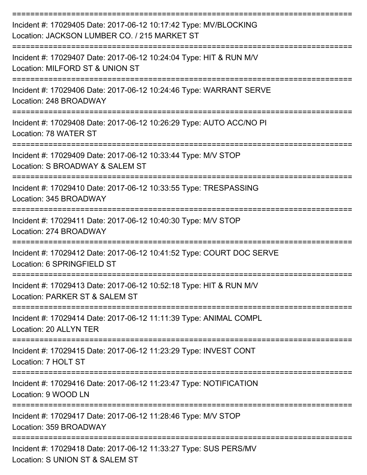| Incident #: 17029405 Date: 2017-06-12 10:17:42 Type: MV/BLOCKING<br>Location: JACKSON LUMBER CO. / 215 MARKET ST    |
|---------------------------------------------------------------------------------------------------------------------|
| Incident #: 17029407 Date: 2017-06-12 10:24:04 Type: HIT & RUN M/V<br>Location: MILFORD ST & UNION ST               |
| Incident #: 17029406 Date: 2017-06-12 10:24:46 Type: WARRANT SERVE<br>Location: 248 BROADWAY                        |
| Incident #: 17029408 Date: 2017-06-12 10:26:29 Type: AUTO ACC/NO PI<br>Location: 78 WATER ST                        |
| Incident #: 17029409 Date: 2017-06-12 10:33:44 Type: M/V STOP<br>Location: S BROADWAY & SALEM ST                    |
| Incident #: 17029410 Date: 2017-06-12 10:33:55 Type: TRESPASSING<br>Location: 345 BROADWAY                          |
| Incident #: 17029411 Date: 2017-06-12 10:40:30 Type: M/V STOP<br>Location: 274 BROADWAY                             |
| Incident #: 17029412 Date: 2017-06-12 10:41:52 Type: COURT DOC SERVE<br>Location: 6 SPRINGFIELD ST                  |
| Incident #: 17029413 Date: 2017-06-12 10:52:18 Type: HIT & RUN M/V<br>Location: PARKER ST & SALEM ST                |
| Incident #: 17029414 Date: 2017-06-12 11:11:39 Type: ANIMAL COMPL<br>Location: 20 ALLYN TER                         |
| Incident #: 17029415 Date: 2017-06-12 11:23:29 Type: INVEST CONT<br>Location: 7 HOLT ST                             |
| =======================<br>Incident #: 17029416 Date: 2017-06-12 11:23:47 Type: NOTIFICATION<br>Location: 9 WOOD LN |
| Incident #: 17029417 Date: 2017-06-12 11:28:46 Type: M/V STOP<br>Location: 359 BROADWAY                             |
| Incident #: 17029418 Date: 2017-06-12 11:33:27 Type: SUS PERS/MV<br>Location: S UNION ST & SALEM ST                 |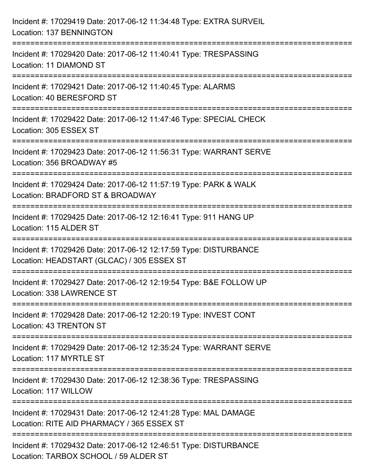| Incident #: 17029419 Date: 2017-06-12 11:34:48 Type: EXTRA SURVEIL<br>Location: 137 BENNINGTON                         |
|------------------------------------------------------------------------------------------------------------------------|
| Incident #: 17029420 Date: 2017-06-12 11:40:41 Type: TRESPASSING<br>Location: 11 DIAMOND ST                            |
| Incident #: 17029421 Date: 2017-06-12 11:40:45 Type: ALARMS<br>Location: 40 BERESFORD ST                               |
| Incident #: 17029422 Date: 2017-06-12 11:47:46 Type: SPECIAL CHECK<br>Location: 305 ESSEX ST                           |
| Incident #: 17029423 Date: 2017-06-12 11:56:31 Type: WARRANT SERVE<br>Location: 356 BROADWAY #5                        |
| Incident #: 17029424 Date: 2017-06-12 11:57:19 Type: PARK & WALK<br>Location: BRADFORD ST & BROADWAY                   |
| ========================<br>Incident #: 17029425 Date: 2017-06-12 12:16:41 Type: 911 HANG UP<br>Location: 115 ALDER ST |
| Incident #: 17029426 Date: 2017-06-12 12:17:59 Type: DISTURBANCE<br>Location: HEADSTART (GLCAC) / 305 ESSEX ST         |
| Incident #: 17029427 Date: 2017-06-12 12:19:54 Type: B&E FOLLOW UP<br>Location: 338 LAWRENCE ST                        |
| Incident #: 17029428 Date: 2017-06-12 12:20:19 Type: INVEST CONT<br>Location: 43 TRENTON ST                            |
| Incident #: 17029429 Date: 2017-06-12 12:35:24 Type: WARRANT SERVE<br>Location: 117 MYRTLE ST                          |
| Incident #: 17029430 Date: 2017-06-12 12:38:36 Type: TRESPASSING<br>Location: 117 WILLOW                               |
| Incident #: 17029431 Date: 2017-06-12 12:41:28 Type: MAL DAMAGE<br>Location: RITE AID PHARMACY / 365 ESSEX ST          |
| Incident #: 17029432 Date: 2017-06-12 12:46:51 Type: DISTURBANCE<br>Location: TARBOX SCHOOL / 59 ALDER ST              |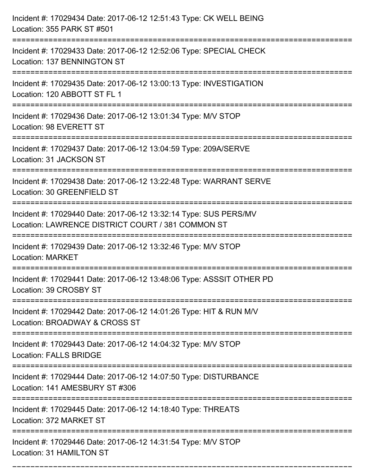| Incident #: 17029434 Date: 2017-06-12 12:51:43 Type: CK WELL BEING<br>Location: 355 PARK ST #501                                                               |
|----------------------------------------------------------------------------------------------------------------------------------------------------------------|
| Incident #: 17029433 Date: 2017-06-12 12:52:06 Type: SPECIAL CHECK<br>Location: 137 BENNINGTON ST                                                              |
| Incident #: 17029435 Date: 2017-06-12 13:00:13 Type: INVESTIGATION<br>Location: 120 ABBOTT ST FL 1                                                             |
| Incident #: 17029436 Date: 2017-06-12 13:01:34 Type: M/V STOP<br>Location: 98 EVERETT ST                                                                       |
| Incident #: 17029437 Date: 2017-06-12 13:04:59 Type: 209A/SERVE<br>Location: 31 JACKSON ST<br>---------------------------------                                |
| Incident #: 17029438 Date: 2017-06-12 13:22:48 Type: WARRANT SERVE<br>Location: 30 GREENFIELD ST                                                               |
| Incident #: 17029440 Date: 2017-06-12 13:32:14 Type: SUS PERS/MV<br>Location: LAWRENCE DISTRICT COURT / 381 COMMON ST<br>=================<br>================ |
| Incident #: 17029439 Date: 2017-06-12 13:32:46 Type: M/V STOP<br><b>Location: MARKET</b>                                                                       |
| Incident #: 17029441 Date: 2017-06-12 13:48:06 Type: ASSSIT OTHER PD<br>Location: 39 CROSBY ST                                                                 |
| Incident #: 17029442 Date: 2017-06-12 14:01:26 Type: HIT & RUN M/V<br>Location: BROADWAY & CROSS ST                                                            |
| Incident #: 17029443 Date: 2017-06-12 14:04:32 Type: M/V STOP<br><b>Location: FALLS BRIDGE</b>                                                                 |
| Incident #: 17029444 Date: 2017-06-12 14:07:50 Type: DISTURBANCE<br>Location: 141 AMESBURY ST #306                                                             |
| Incident #: 17029445 Date: 2017-06-12 14:18:40 Type: THREATS<br>Location: 372 MARKET ST                                                                        |
| Incident #: 17029446 Date: 2017-06-12 14:31:54 Type: M/V STOP<br>Location: 31 HAMILTON ST                                                                      |

===========================================================================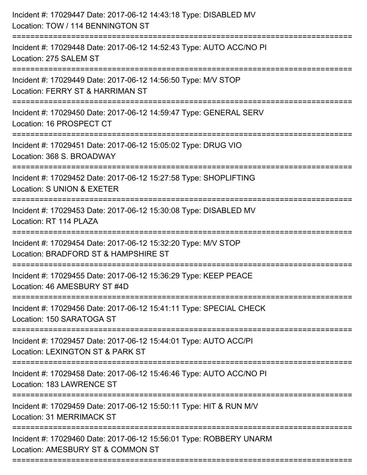| Incident #: 17029447 Date: 2017-06-12 14:43:18 Type: DISABLED MV<br>Location: TOW / 114 BENNINGTON ST<br>============================== |
|-----------------------------------------------------------------------------------------------------------------------------------------|
| Incident #: 17029448 Date: 2017-06-12 14:52:43 Type: AUTO ACC/NO PI<br>Location: 275 SALEM ST<br>-----------------                      |
| Incident #: 17029449 Date: 2017-06-12 14:56:50 Type: M/V STOP<br>Location: FERRY ST & HARRIMAN ST                                       |
| Incident #: 17029450 Date: 2017-06-12 14:59:47 Type: GENERAL SERV<br>Location: 16 PROSPECT CT                                           |
| Incident #: 17029451 Date: 2017-06-12 15:05:02 Type: DRUG VIO<br>Location: 368 S. BROADWAY                                              |
| Incident #: 17029452 Date: 2017-06-12 15:27:58 Type: SHOPLIFTING<br>Location: S UNION & EXETER                                          |
| .====================<br>Incident #: 17029453 Date: 2017-06-12 15:30:08 Type: DISABLED MV<br>Location: RT 114 PLAZA                     |
| Incident #: 17029454 Date: 2017-06-12 15:32:20 Type: M/V STOP<br>Location: BRADFORD ST & HAMPSHIRE ST                                   |
| Incident #: 17029455 Date: 2017-06-12 15:36:29 Type: KEEP PEACE<br>Location: 46 AMESBURY ST #4D                                         |
| Incident #: 17029456 Date: 2017-06-12 15:41:11 Type: SPECIAL CHECK<br>Location: 150 SARATOGA ST                                         |
| Incident #: 17029457 Date: 2017-06-12 15:44:01 Type: AUTO ACC/PI<br>Location: LEXINGTON ST & PARK ST                                    |
| Incident #: 17029458 Date: 2017-06-12 15:46:46 Type: AUTO ACC/NO PI<br>Location: 183 LAWRENCE ST                                        |
| Incident #: 17029459 Date: 2017-06-12 15:50:11 Type: HIT & RUN M/V<br>Location: 31 MERRIMACK ST                                         |
| Incident #: 17029460 Date: 2017-06-12 15:56:01 Type: ROBBERY UNARM<br>Location: AMESBURY ST & COMMON ST                                 |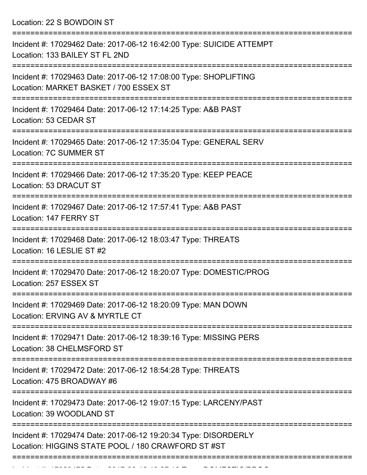Location: 22 S BOWDOIN ST

| Incident #: 17029462 Date: 2017-06-12 16:42:00 Type: SUICIDE ATTEMPT<br>Location: 133 BAILEY ST FL 2ND                |
|-----------------------------------------------------------------------------------------------------------------------|
| Incident #: 17029463 Date: 2017-06-12 17:08:00 Type: SHOPLIFTING<br>Location: MARKET BASKET / 700 ESSEX ST            |
| Incident #: 17029464 Date: 2017-06-12 17:14:25 Type: A&B PAST<br>Location: 53 CEDAR ST                                |
| Incident #: 17029465 Date: 2017-06-12 17:35:04 Type: GENERAL SERV<br>Location: 7C SUMMER ST                           |
| Incident #: 17029466 Date: 2017-06-12 17:35:20 Type: KEEP PEACE<br>Location: 53 DRACUT ST                             |
| Incident #: 17029467 Date: 2017-06-12 17:57:41 Type: A&B PAST<br>Location: 147 FERRY ST                               |
| Incident #: 17029468 Date: 2017-06-12 18:03:47 Type: THREATS<br>Location: 16 LESLIE ST #2                             |
| Incident #: 17029470 Date: 2017-06-12 18:20:07 Type: DOMESTIC/PROG<br>Location: 257 ESSEX ST                          |
| Incident #: 17029469 Date: 2017-06-12 18:20:09 Type: MAN DOWN<br>Location: ERVING AV & MYRTLE CT                      |
| Incident #: 17029471 Date: 2017-06-12 18:39:16 Type: MISSING PERS<br>Location: 38 CHELMSFORD ST                       |
| Incident #: 17029472 Date: 2017-06-12 18:54:28 Type: THREATS<br>Location: 475 BROADWAY #6                             |
| Incident #: 17029473 Date: 2017-06-12 19:07:15 Type: LARCENY/PAST<br>Location: 39 WOODLAND ST                         |
| Incident #: 17029474 Date: 2017-06-12 19:20:34 Type: DISORDERLY<br>Location: HIGGINS STATE POOL / 180 CRAWFORD ST #ST |
|                                                                                                                       |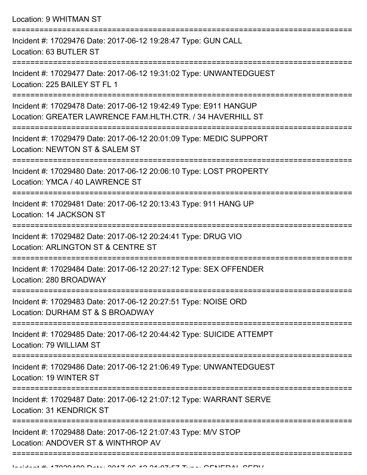Location: 9 WHITMAN ST

| Incident #: 17029476 Date: 2017-06-12 19:28:47 Type: GUN CALL<br>Location: 63 BUTLER ST                                        |
|--------------------------------------------------------------------------------------------------------------------------------|
| Incident #: 17029477 Date: 2017-06-12 19:31:02 Type: UNWANTEDGUEST<br>Location: 225 BAILEY ST FL 1                             |
| Incident #: 17029478 Date: 2017-06-12 19:42:49 Type: E911 HANGUP<br>Location: GREATER LAWRENCE FAM.HLTH.CTR. / 34 HAVERHILL ST |
| Incident #: 17029479 Date: 2017-06-12 20:01:09 Type: MEDIC SUPPORT<br>Location: NEWTON ST & SALEM ST                           |
| Incident #: 17029480 Date: 2017-06-12 20:06:10 Type: LOST PROPERTY<br>Location: YMCA / 40 LAWRENCE ST                          |
| Incident #: 17029481 Date: 2017-06-12 20:13:43 Type: 911 HANG UP<br>Location: 14 JACKSON ST                                    |
| Incident #: 17029482 Date: 2017-06-12 20:24:41 Type: DRUG VIO<br>Location: ARLINGTON ST & CENTRE ST                            |
| Incident #: 17029484 Date: 2017-06-12 20:27:12 Type: SEX OFFENDER<br>Location: 280 BROADWAY                                    |
| Incident #: 17029483 Date: 2017-06-12 20:27:51 Type: NOISE ORD<br>Location: DURHAM ST & S BROADWAY                             |
| Incident #: 17029485 Date: 2017-06-12 20:44:42 Type: SUICIDE ATTEMPT<br>Location: 79 WILLIAM ST                                |
| Incident #: 17029486 Date: 2017-06-12 21:06:49 Type: UNWANTEDGUEST<br>Location: 19 WINTER ST                                   |
| Incident #: 17029487 Date: 2017-06-12 21:07:12 Type: WARRANT SERVE<br><b>Location: 31 KENDRICK ST</b>                          |
| Incident #: 17029488 Date: 2017-06-12 21:07:43 Type: M/V STOP<br>Location: ANDOVER ST & WINTHROP AV                            |
|                                                                                                                                |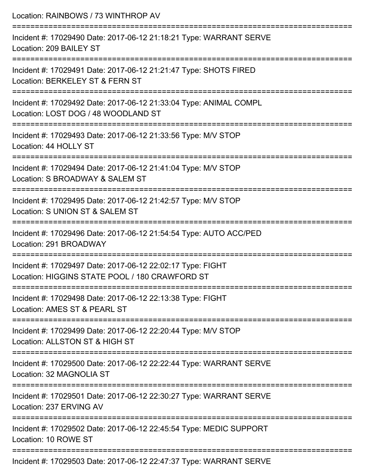| Location: RAINBOWS / 73 WINTHROP AV                                                                                             |
|---------------------------------------------------------------------------------------------------------------------------------|
| Incident #: 17029490 Date: 2017-06-12 21:18:21 Type: WARRANT SERVE<br>Location: 209 BAILEY ST                                   |
| Incident #: 17029491 Date: 2017-06-12 21:21:47 Type: SHOTS FIRED<br>Location: BERKELEY ST & FERN ST                             |
| Incident #: 17029492 Date: 2017-06-12 21:33:04 Type: ANIMAL COMPL<br>Location: LOST DOG / 48 WOODLAND ST                        |
| Incident #: 17029493 Date: 2017-06-12 21:33:56 Type: M/V STOP<br>Location: 44 HOLLY ST                                          |
| Incident #: 17029494 Date: 2017-06-12 21:41:04 Type: M/V STOP<br>Location: S BROADWAY & SALEM ST                                |
| ===========================<br>Incident #: 17029495 Date: 2017-06-12 21:42:57 Type: M/V STOP<br>Location: S UNION ST & SALEM ST |
| Incident #: 17029496 Date: 2017-06-12 21:54:54 Type: AUTO ACC/PED<br>Location: 291 BROADWAY                                     |
| Incident #: 17029497 Date: 2017-06-12 22:02:17 Type: FIGHT<br>Location: HIGGINS STATE POOL / 180 CRAWFORD ST                    |
| Incident #: 17029498 Date: 2017-06-12 22:13:38 Type: FIGHT<br>Location: AMES ST & PEARL ST                                      |
| Incident #: 17029499 Date: 2017-06-12 22:20:44 Type: M/V STOP<br>Location: ALLSTON ST & HIGH ST                                 |
| Incident #: 17029500 Date: 2017-06-12 22:22:44 Type: WARRANT SERVE<br>Location: 32 MAGNOLIA ST                                  |
| Incident #: 17029501 Date: 2017-06-12 22:30:27 Type: WARRANT SERVE<br>Location: 237 ERVING AV                                   |
| Incident #: 17029502 Date: 2017-06-12 22:45:54 Type: MEDIC SUPPORT<br>Location: 10 ROWE ST                                      |
|                                                                                                                                 |

Incident #: 17029503 Date: 2017-06-12 22:47:37 Type: WARRANT SERVE